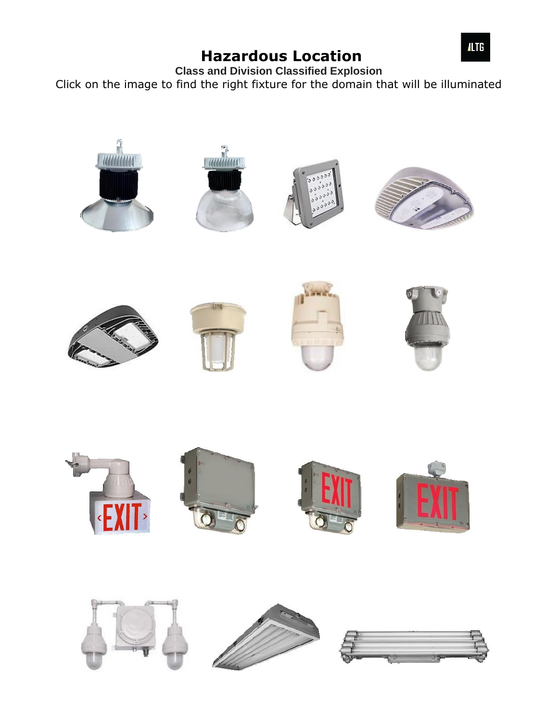# **Hazardous Location**

**Class and Division Classified Explosion** Click on the image to find the right fixture for the domain that will be illuminated



**ALTG**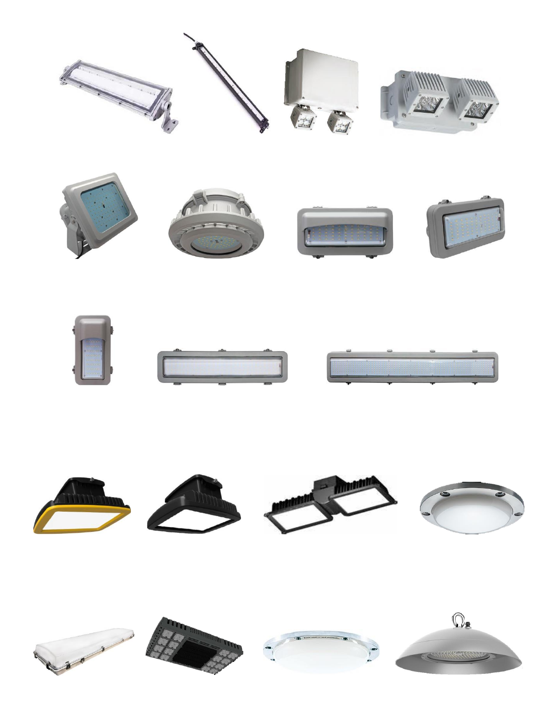







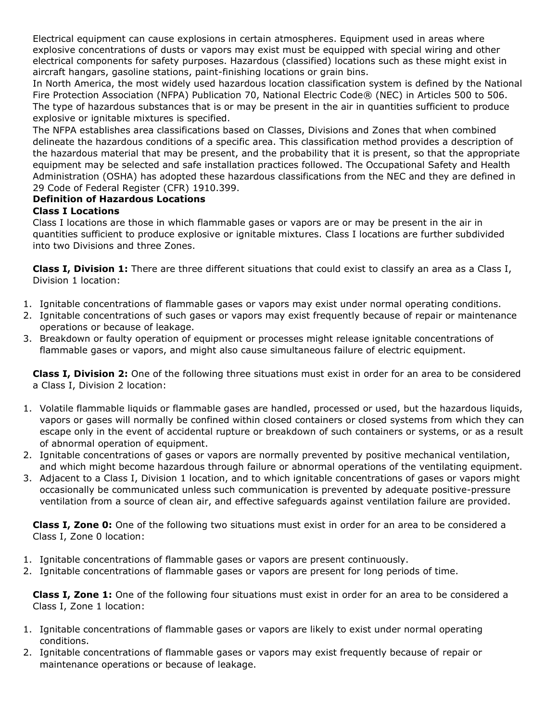Electrical equipment can cause explosions in certain atmospheres. Equipment used in areas where explosive concentrations of dusts or vapors may exist must be equipped with special wiring and other electrical components for safety purposes. Hazardous (classified) locations such as these might exist in aircraft hangars, gasoline stations, paint-finishing locations or grain bins.

In North America, the most widely used hazardous location classification system is defined by the National Fire Protection Association (NFPA) Publication 70, National Electric Code® (NEC) in Articles 500 to 506. The type of hazardous substances that is or may be present in the air in quantities sufficient to produce explosive or ignitable mixtures is specified.

The NFPA establishes area classifications based on Classes, Divisions and Zones that when combined delineate the hazardous conditions of a specific area. This classification method provides a description of the hazardous material that may be present, and the probability that it is present, so that the appropriate equipment may be selected and safe installation practices followed. The Occupational Safety and Health Administration (OSHA) has adopted these hazardous classifications from the NEC and they are defined in 29 Code of Federal Register (CFR) 1910.399.

# **Definition of Hazardous Locations**

# **Class I Locations**

Class I locations are those in which flammable gases or vapors are or may be present in the air in quantities sufficient to produce explosive or ignitable mixtures. Class I locations are further subdivided into two Divisions and three Zones.

**Class I, Division 1:** There are three different situations that could exist to classify an area as a Class I, Division 1 location:

- 1. Ignitable concentrations of flammable gases or vapors may exist under normal operating conditions.
- 2. Ignitable concentrations of such gases or vapors may exist frequently because of repair or maintenance operations or because of leakage.
- 3. Breakdown or faulty operation of equipment or processes might release ignitable concentrations of flammable gases or vapors, and might also cause simultaneous failure of electric equipment.

**Class I, Division 2:** One of the following three situations must exist in order for an area to be considered a Class I, Division 2 location:

- 1. Volatile flammable liquids or flammable gases are handled, processed or used, but the hazardous liquids, vapors or gases will normally be confined within closed containers or closed systems from which they can escape only in the event of accidental rupture or breakdown of such containers or systems, or as a result of abnormal operation of equipment.
- 2. Ignitable concentrations of gases or vapors are normally prevented by positive mechanical ventilation, and which might become hazardous through failure or abnormal operations of the ventilating equipment.
- 3. Adjacent to a Class I, Division 1 location, and to which ignitable concentrations of gases or vapors might occasionally be communicated unless such communication is prevented by adequate positive-pressure ventilation from a source of clean air, and effective safeguards against ventilation failure are provided.

**Class I, Zone 0:** One of the following two situations must exist in order for an area to be considered a Class I, Zone 0 location:

- 1. Ignitable concentrations of flammable gases or vapors are present continuously.
- 2. Ignitable concentrations of flammable gases or vapors are present for long periods of time.

**Class I, Zone 1:** One of the following four situations must exist in order for an area to be considered a Class I, Zone 1 location:

- 1. Ignitable concentrations of flammable gases or vapors are likely to exist under normal operating conditions.
- 2. Ignitable concentrations of flammable gases or vapors may exist frequently because of repair or maintenance operations or because of leakage.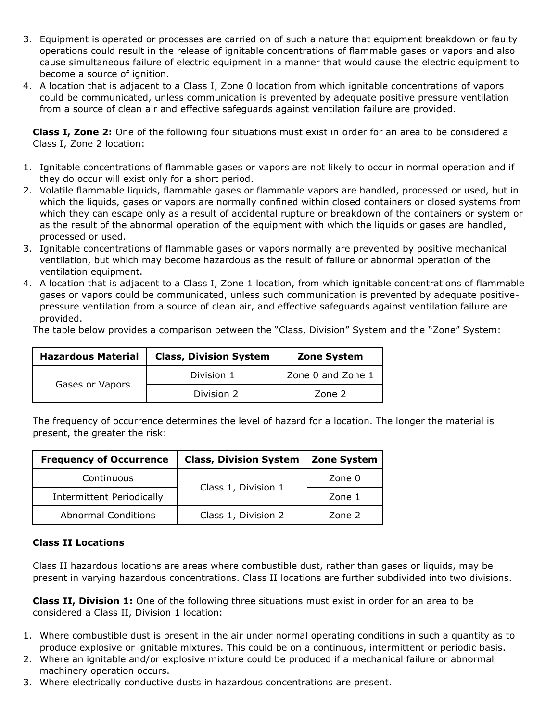- 3. Equipment is operated or processes are carried on of such a nature that equipment breakdown or faulty operations could result in the release of ignitable concentrations of flammable gases or vapors and also cause simultaneous failure of electric equipment in a manner that would cause the electric equipment to become a source of ignition.
- 4. A location that is adjacent to a Class I, Zone 0 location from which ignitable concentrations of vapors could be communicated, unless communication is prevented by adequate positive pressure ventilation from a source of clean air and effective safeguards against ventilation failure are provided.

**Class I, Zone 2:** One of the following four situations must exist in order for an area to be considered a Class I, Zone 2 location:

- 1. Ignitable concentrations of flammable gases or vapors are not likely to occur in normal operation and if they do occur will exist only for a short period.
- 2. Volatile flammable liquids, flammable gases or flammable vapors are handled, processed or used, but in which the liquids, gases or vapors are normally confined within closed containers or closed systems from which they can escape only as a result of accidental rupture or breakdown of the containers or system or as the result of the abnormal operation of the equipment with which the liquids or gases are handled, processed or used.
- 3. Ignitable concentrations of flammable gases or vapors normally are prevented by positive mechanical ventilation, but which may become hazardous as the result of failure or abnormal operation of the ventilation equipment.
- 4. A location that is adjacent to a Class I, Zone 1 location, from which ignitable concentrations of flammable gases or vapors could be communicated, unless such communication is prevented by adequate positivepressure ventilation from a source of clean air, and effective safeguards against ventilation failure are provided.

The table below provides a comparison between the "Class, Division" System and the "Zone" System:

| <b>Hazardous Material</b> | <b>Class, Division System</b> | <b>Zone System</b> |
|---------------------------|-------------------------------|--------------------|
| Gases or Vapors           | Division 1                    | Zone 0 and Zone 1  |
|                           | Division 2                    | Zone 2             |

The frequency of occurrence determines the level of hazard for a location. The longer the material is present, the greater the risk:

| <b>Frequency of Occurrence</b>   | <b>Class, Division System</b> | <b>Zone System</b> |
|----------------------------------|-------------------------------|--------------------|
| Continuous                       |                               | Zone 0             |
| <b>Intermittent Periodically</b> | Class 1, Division 1           | Zone 1             |
| <b>Abnormal Conditions</b>       | Class 1, Division 2           | Zone 2             |

### **Class II Locations**

Class II hazardous locations are areas where combustible dust, rather than gases or liquids, may be present in varying hazardous concentrations. Class II locations are further subdivided into two divisions.

**Class II, Division 1:** One of the following three situations must exist in order for an area to be considered a Class II, Division 1 location:

- 1. Where combustible dust is present in the air under normal operating conditions in such a quantity as to produce explosive or ignitable mixtures. This could be on a continuous, intermittent or periodic basis.
- 2. Where an ignitable and/or explosive mixture could be produced if a mechanical failure or abnormal machinery operation occurs.
- 3. Where electrically conductive dusts in hazardous concentrations are present.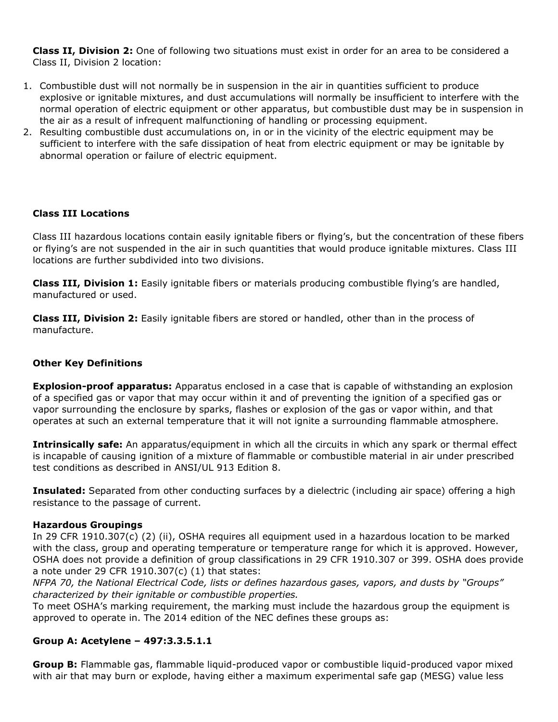**Class II, Division 2:** One of following two situations must exist in order for an area to be considered a Class II, Division 2 location:

- 1. Combustible dust will not normally be in suspension in the air in quantities sufficient to produce explosive or ignitable mixtures, and dust accumulations will normally be insufficient to interfere with the normal operation of electric equipment or other apparatus, but combustible dust may be in suspension in the air as a result of infrequent malfunctioning of handling or processing equipment.
- 2. Resulting combustible dust accumulations on, in or in the vicinity of the electric equipment may be sufficient to interfere with the safe dissipation of heat from electric equipment or may be ignitable by abnormal operation or failure of electric equipment.

### **Class III Locations**

Class III hazardous locations contain easily ignitable fibers or flying's, but the concentration of these fibers or flying's are not suspended in the air in such quantities that would produce ignitable mixtures. Class III locations are further subdivided into two divisions.

**Class III, Division 1:** Easily ignitable fibers or materials producing combustible flying's are handled, manufactured or used.

**Class III, Division 2:** Easily ignitable fibers are stored or handled, other than in the process of manufacture.

### **Other Key Definitions**

**Explosion-proof apparatus:** Apparatus enclosed in a case that is capable of withstanding an explosion of a specified gas or vapor that may occur within it and of preventing the ignition of a specified gas or vapor surrounding the enclosure by sparks, flashes or explosion of the gas or vapor within, and that operates at such an external temperature that it will not ignite a surrounding flammable atmosphere.

**Intrinsically safe:** An apparatus/equipment in which all the circuits in which any spark or thermal effect is incapable of causing ignition of a mixture of flammable or combustible material in air under prescribed test conditions as described in ANSI/UL 913 Edition 8.

**Insulated:** Separated from other conducting surfaces by a dielectric (including air space) offering a high resistance to the passage of current.

### **Hazardous Groupings**

In 29 CFR 1910.307(c) (2) (ii), OSHA requires all equipment used in a hazardous location to be marked with the class, group and operating temperature or temperature range for which it is approved. However, OSHA does not provide a definition of group classifications in 29 CFR 1910.307 or 399. OSHA does provide a note under 29 CFR 1910.307(c) (1) that states:

*NFPA 70, the National Electrical Code, lists or defines hazardous gases, vapors, and dusts by "Groups" characterized by their ignitable or combustible properties.*

To meet OSHA's marking requirement, the marking must include the hazardous group the equipment is approved to operate in. The 2014 edition of the NEC defines these groups as:

### **Group A: Acetylene – 497:3.3.5.1.1**

**Group B:** Flammable gas, flammable liquid-produced vapor or combustible liquid-produced vapor mixed with air that may burn or explode, having either a maximum experimental safe gap (MESG) value less